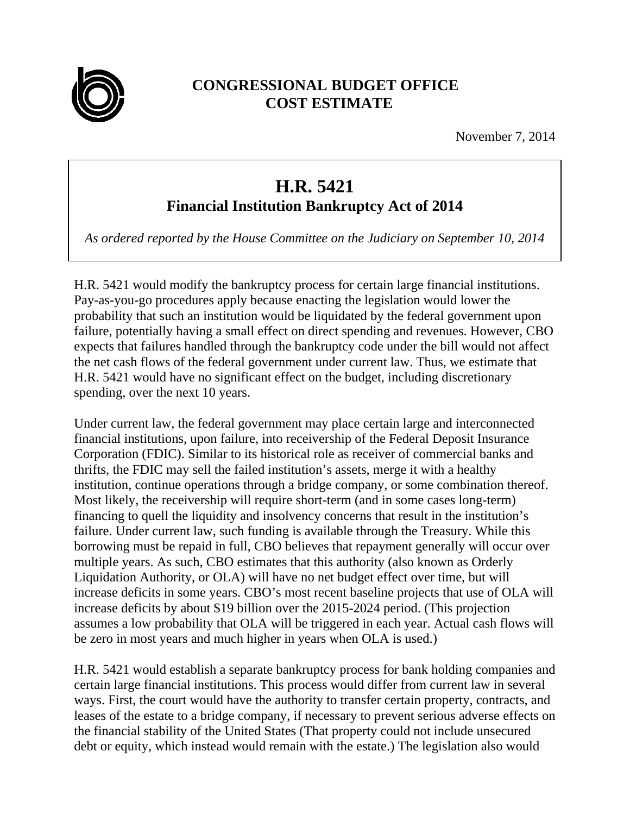

## **CONGRESSIONAL BUDGET OFFICE COST ESTIMATE**

November 7, 2014

## **H.R. 5421 Financial Institution Bankruptcy Act of 2014**

*As ordered reported by the House Committee on the Judiciary on September 10, 2014* 

H.R. 5421 would modify the bankruptcy process for certain large financial institutions. Pay-as-you-go procedures apply because enacting the legislation would lower the probability that such an institution would be liquidated by the federal government upon failure, potentially having a small effect on direct spending and revenues. However, CBO expects that failures handled through the bankruptcy code under the bill would not affect the net cash flows of the federal government under current law. Thus, we estimate that H.R. 5421 would have no significant effect on the budget, including discretionary spending, over the next 10 years.

Under current law, the federal government may place certain large and interconnected financial institutions, upon failure, into receivership of the Federal Deposit Insurance Corporation (FDIC). Similar to its historical role as receiver of commercial banks and thrifts, the FDIC may sell the failed institution's assets, merge it with a healthy institution, continue operations through a bridge company, or some combination thereof. Most likely, the receivership will require short-term (and in some cases long-term) financing to quell the liquidity and insolvency concerns that result in the institution's failure. Under current law, such funding is available through the Treasury. While this borrowing must be repaid in full, CBO believes that repayment generally will occur over multiple years. As such, CBO estimates that this authority (also known as Orderly Liquidation Authority, or OLA) will have no net budget effect over time, but will increase deficits in some years. CBO's most recent baseline projects that use of OLA will increase deficits by about \$19 billion over the 2015-2024 period. (This projection assumes a low probability that OLA will be triggered in each year. Actual cash flows will be zero in most years and much higher in years when OLA is used.)

H.R. 5421 would establish a separate bankruptcy process for bank holding companies and certain large financial institutions. This process would differ from current law in several ways. First, the court would have the authority to transfer certain property, contracts, and leases of the estate to a bridge company, if necessary to prevent serious adverse effects on the financial stability of the United States (That property could not include unsecured debt or equity, which instead would remain with the estate.) The legislation also would